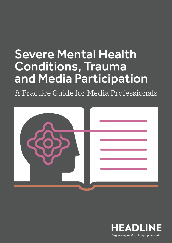## Severe Mental Health Conditions, Trauma and Media Participation

A Practice Guide for Media Professionals



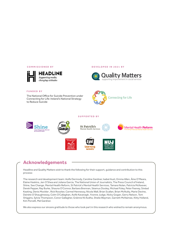

#### **COMMISSIONED BY DEVELOPED IN 2021 BY**



#### **FUNDED BY**

The National Office for Suicide Prevention under Connecting for Life: Ireland's National Strategy to Reduce Suicide



#### **SUPPORTED BY**



## **Acknowledgements**

Headline and Quality Matters wish to thank the following for their support, guidance and contribution to this process:

The research and development team: Aoife Dermody, Caroline Gardner, Isabel Aust, Emma Allen, Áine O'Meara, Elaine Haskins, Jen O'Shea and Juliana Garcia, The National Union of Journalists, The Press Council of Ireland, Shine, See Change, Mental Health Reform, St Patrick's Mental Health Services, Tamara Nolan, Patricia McKeever, Derek Pepper, Ray Burke, Shauna O'Connor, Barbara Brennan, Séamus Dooley, Michael Foley, Peter Feeney, Sinéad Keating, Denis Mockler , Rick Rossiter, Carmel Hennessy, Nicola Wall, Brian Scallan, Brian McNulty, Marie Devine, Deirdre O'Shaughnessy, Colm O'Callaghan, Aoife Kavanagh, Yvonne Judge, Nicky Gogan, Gerry Nelson, Tom Shiggins, Sylvia Thompson, Conor Gallagher, Gráinne Ní Aodha, Sheila Wayman, Garreth McNamee, Kitty Holland, Kim Porcelli, Mel Gardner.

We also express our sincere gratitude to those who took part in this research who wished to remain anonymous.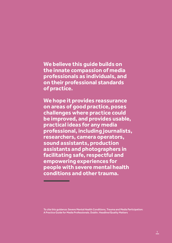# **We believe this guide builds on**

**the innate compassion of media professionals as individuals, and on their professional standards of practice.** 

**We hope it provides reassurance on areas of good practice, poses challenges where practice could be improved, and provides usable, practical ideas for any media professional, including journalists, researchers, camera operators, sound assistants, production assistants and photographers in facilitating safe, respectful and empowering experiences for people with severe mental health conditions and other trauma.**

To cite this guidance: Severe Mental Health Conditions, Trauma and Media Participation: A Practice Guide for Media Professionals. Dublin. Headline/Quality Matters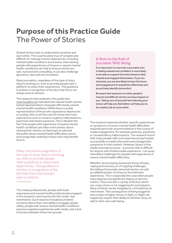## **Purpose of this Practice Guide** The Power of Stories

Shared stories help us understand ourselves and each other. This is particularly true of complex and difficult-to-manage human experiences, including mental health conditions and trauma. Interviewing people with experiences of trauma or severe mental health conditionscan help to ensure stories are real, nuanced and compelling. It can also challenge ignorance, bias and discrimination.

Many journalists, regardless of the type of story they're working on, wish to provide people with a platform to share their experiences. This guidance is written in recognition of the fact that this is not always easy to achieve.

The research that underpins this guide (see www.headline.ie) indicated that mental health stories lacked representation of people affected by severe mental health conditions. While there is ample representation of those who experience depression or anxiety, this is not the case for those who have experiences such as visual or auditory hallucinations, psychosis and severe paranoia. This is despite the fact that people with experience of severe mental health conditions are often enthusiastic about sharing their stories, as they hope to educate the public about mental health difficulties and to encourage help-seeking in those who may benefit from it.

Many journalists, regardless of the type of story they're working on, wish to provide people with a platform to share their experiences. This guidance is written in recognition of the fact that this is not always easy to achieve.

## A Note on the Role of Journalist Well-Being

It is important to note that a journalist who is feeling relaxed and confident is more likely to be able to support the interviewee to feel relaxed and engaged themselves. If you are stressed, you are less likely to have the focus and engagement to empathise effectively and proactively identify discomfort.

Be aware that exposure to other people's trauma and difficult stories can have impact on you. Taking care of yourself and reducing your stress will help you feel better and help you to do a better job as a journalist.

The research explored whether specific experiences or symptoms of severe mental health difficulties required particular accommodation in the course of media engagement, for example paranoia, psychosis or visual/auditory hallucinations. The research found that many people with such experiences participate successfully in media interviews and manage their symptoms in that context. However, facets of the media interview process – a process that is difficult for anyone with limited media experience – can pose intensified challenges for people with experience of severe mental health difficulties.

Whether stories being shared are those of hope, coping and recovery or of ongoing challenges, the telling of traumatic personal stories can add an additional layer of stress to the interview experience. This is especially the case when people have experienced significant stigma or discrimination. There are also a variety of factors which can cause stress or be triggering for participants. Many of these can be mitigated or controlled by an interviewer. The consequence of being triggered into a state of higher stress or fight-or-flight can negatively impact their ability to tell their story, as well as their own well-being.

The media professionals, people with lived experience and mental health professionals engaged in the research cited reasons for this under-representation. Such reasons included journalists' concerns about their own ability to engage people safely, people with severe mental health conditions' previous negative experiences with media, and a lack of access between these two groups.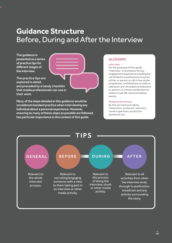## **Guidance Structure** Before, During and After the Interview

The guidance is presented as a series of practice tips for different stages of the interview.



Many of the steps detailed in this guidance would be considered standard practice when interviewing any individual about a personal experience. However, ensuring as many of these steps as possible are followed has particular importance in the context of this guide.

## **GLOSSARY**

#### Interview:

For the purposes of this guide, "Interview" is shorthand for any engagement experience including but not limited to contributions to a print article, in-person or call-in live studio programme, contributions on radio or television, pre-recorded contributions in-person, or virtual contributions at online or real-life communications events.

#### Media professionals:

By this we mean journalists, researchers, producers, reporters, camera operators, production assistants, etc.

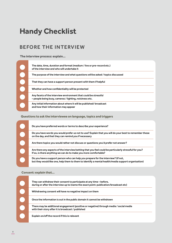## **Handy Checklist**

## BEFORE THE INTERVIEW

**The interview process: explain…**



**Questions to ask the interviewee on language, topics and triggers**

| Do you have preferred words or terms to describe your experience?                                                                                                                       |
|-----------------------------------------------------------------------------------------------------------------------------------------------------------------------------------------|
| Do you have words you would prefer us not to use? Explain that you will do your best to remember these<br>on the day, and that they can remind you if necessary                         |
| Are there topics you would rather not discuss or questions you'd prefer not answer?                                                                                                     |
| Are there any aspects of the interview/setting that you feel could be particularly stressful for you?<br>If so, is there anything we can do to make you more comfortable?               |
| Do you have a support person who can help you prepare for the interview? (if not,<br>but they would like one, help them to them to identify a mental health/media support organisation) |

**Consent: explain that…**

| They can withdraw their consent to participate at any time – before,<br>during or after the interview up to (name the exact point: publication/broadcast etc) |
|---------------------------------------------------------------------------------------------------------------------------------------------------------------|
| Withdrawing consent will have no negative impact on them                                                                                                      |
| Once the information is out in the public domain it cannot be withdrawn                                                                                       |
| There may be additional engagement (positive or negative) through media / social media<br>with their story after it is broadcast / published                  |
| Explain on/off the record if this is relevant                                                                                                                 |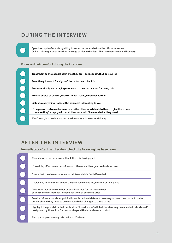## DURING THE INTERVIEW

Spend a couple of minutes getting to know the person before the official interview (if live, this might be at another time e.g. earlier in the day). This increases trust and honesty.

## **Focus on their comfort during the interview**



## AFTER THE INTERVIEW

**Immediately after the interview: check the following has been done**

| Check in with the person and thank them for taking part                                                                                                                         |
|---------------------------------------------------------------------------------------------------------------------------------------------------------------------------------|
| If possible, offer them a cup of tea or coffee or another gesture to show care                                                                                                  |
| Check that they have someone to talk to or debrief with if needed                                                                                                               |
| If relevant, remind them of how they can review quotes, content or final piece                                                                                                  |
| Give a contact phone number or email address for the interviewer<br>or another team member in case questions or concerns arise                                                  |
| Provide information about publication or broadcast dates and ensure you have their correct contact<br>details should they need to be contacted with changes to these dates.     |
| Highlight the possibility that publication/broadcast of article/interview may be cancelled / shortened/<br>postponed by the editor for reasons beyond the interviewer's control |
| Alert participants to any rebroadcast, if relevant                                                                                                                              |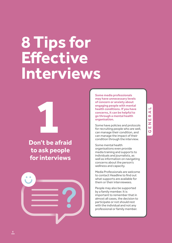## **8 Tips for Effective Interviews**



 $\bullet\bullet$ 

**Some media professionals may have unnecessary levels of concern or anxiety about engaging people with mental health conditions. If you have concerns, it can be helpful to go through a mental health organisation.** 

Some have policies and protocols for recruiting people who are well, can manage their condition, and can manage the impact of their condition through the interview.

Some mental health organisations even provide media training and supports to individuals and journalists, as well as information on navigating concerns about the person's wellness and capacity.

Media Professionals are welcome to contact Headline to find out what supports are available for them or their interviewees.

People may also be supported by a family member. It is important to remember that in almost all cases, the decision to participate or not should rest<br>with the individual and not any People may also be supported<br>by a family member. It is<br>important to remember that in<br>almost all cases, the decision to<br>participate or not should rest<br>with the individual and not any<br>professional or family member.

## **GENERAL**  $\blacktriangleleft$  $\overline{\mathbf{r}}$ Ш Z ш ပ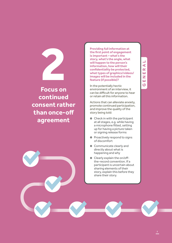**Focus on continued consent rather than once-off agreement 2**

**Providing full information at the first point of engagement is important – what's the story, what's the angle, what will happen to the person's information, how will their confidentiality be protected, what types of graphics/videos/ images will be included in the feature (if possible)?** 

In the potentially hectic environment of an interview, it can be difficult for anyone to hear or retain all this information.

Actions that can alleviate anxiety, promote continued participation, and improve the quality of the story being told:

- **•** Check in with the participant at all stages, e.g. while having a microphone fitted, setting up for having a picture taken or signing release forms
- **o** Proactively respond to signs of discomfort
- **o** Communicate clearly and directly about what is happening and why
- **o** Clearly explain the on/offthe-record convention. If a participant is uncertain about sharing elements of their story, explain this before they share their story.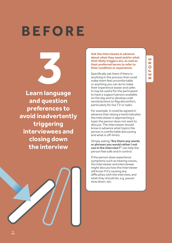### ш **BEFORE** œ  $\overline{\mathbf{O}}$ ЦL. Ш m

## **BEFORE**

**Learn language 3**<br>**1**<br>**1 angua**<br>**1 augstic and question preferences to avoid inadvertently triggering interviewees and closing down the interview**

## particularly for live TV or radio. For example, it could be agreed in advance that raising a hand indicates the interviewer is approaching a topic the person does not want to discuss. The interviewer should know in advance what topics the person is comfortable discussing

and what is off-limits. Simply asking **"Are there any words or phrases you would rather I not use in the interview?"** can help the person feel safe and in control.

**Ask the interviewee in advance about what they need and/or what their likely triggers are, as well as their preferred terms to refer to their condition or experience.** 

Specifically ask them if there is anything in the process that could make them feel uncomfortable or anything you can do to make their experience easier and safer. It may be useful for the participant to have a support person available on the day and to develop code words/actions to flag discomfort,

If the person does experience symptoms such as hearing voices, the interviewer and interviewee might discuss how the interviewer will know if it's causing any difficulties with the interview, and what they should do, e.g. pause/ slow down, etc.

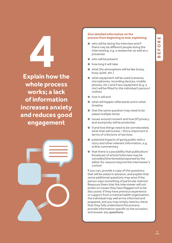**Explain how the whole process works; a lack of information increases anxiety and reduces good engagement 4**<br> **19**<br> **1999<br>
1999<br>
1999<br>
1999<br>
1999** 



### **Give detailed information on the process from beginning to end, explaining:**

- $\bullet$  who will be doing the interview and if there may be different people doing the interviewing, e.g. a researcher as well as a presenter
- **o** who will be present
- **o** how long it will take
- **o** what the atmosphere will be like (noisy, busy, quiet, etc.)
- $\bullet$  what equipment will be used (cameras, microphones, recording devices, mobile phones, etc.) and if any equipment (e.g. a mic) will be fitted to the individual's person/ clothes
- **Q** how it will end
- $\bullet$  what will happen afterwards and in what timeline
- **o** that the same question may need to be asked multiple times
- $\bullet$  issues around consent and how (if) privacy and anonymity will be protected
- $\bullet$  if and how things need to be corroborated, what that will involve – this is important in terms of criticisms of services
- $\bullet$  potential impacts of going public with a story and other relevant information, e.g. online commentary
- $\bullet$  that there is a possibility that publication/ broadcast of article/interview may be cancelled/shortened/postponed by the editor for reasons beyond the interviewer's control

If you can, provide a copy of the questions that will be asked in advance, and explain that some additional questions may arise if the person says something of particular interest. Reassure them that the interviewer will not probe on issues they have flagged not to be discussed. If they have previous experience or support from a mental health organisation, the individual may well arrive informed and prepared, and you may simply need to check that they fully understand the process, provide information specific to the occasion, and answer any questions.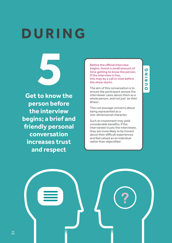**5 Get to know the person before the interview begins; a brief and friendly personal conversation increases trust and respect**

**DURING**

**Before the official interview begins, invest a small amount of time getting to know the person. If the interview is live, this may be a call or chat before the show starts.**

The aim of this conversation is to ensure the participant senses the interviewer cares about them as a whole person, and not just 'as their illness'.

This can assuage concerns about being represented as a one-dimensional character.

Such an investment may yield considerable benefits; if the interviewee trusts the interviewer, they are more likely to be honest about their difficult experiences and feel valued as an individual rather than objectified.

**?**

## $\overline{c}$ **DURING** Ζ  $\frac{1}{\alpha}$  $\overline{\phantom{0}}$  $\Box$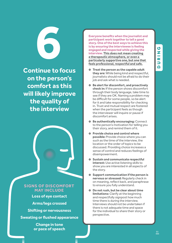**Continue to focus on the person's comfort as this will likely improve the quality of the interview 6**<br>tinue to f

## **SIGNS OF DISCOMFORT MAY INCLUDE**

- **Loss of eye contact**
- **Arms/legs crossed**
- **Shifting or nervousness**
- **Sweating or flushed appearance**

**Change in tone or pace of speech**

**Everyone benefits when the journalist and participant work together to tell a good story. One of the best ways to achieve this is by ensuring the interviewee is feeling engaged and respected while giving the interview. This does not mean creating a therapeutic atmosphere, or even a particularly supportive one, but one that feels professional, respectful and safe.**

- £ **Treat the person as the capable adult they are:** While being kind and respectful, journalists should not be afraid to do their job and ask what is needed.
- £ **Be alert for discomfort, and proactively check in:** If the person shows discomfort through their body language, take time to see if they are OK. Naming a problem may be difficult for some people, so be alert for it and take responsibility for checking in. Trust and mutual respect are fostered when the participant feels as though the interviewer will inquire or pause if discomfort arises.
- $\bullet$  **Be authentically encouraging: Connect** to the person's motivation for telling you their story, and remind them of it.
- £ **Provide choice and control where possible:** Provide choice where you can such as the time of the interview, the location or the order of topics to be discussed. Providing choice increases a sense of control and reduces feelings of disempowerment.
- £ **Sustain and communicate respectful interest:** Use active listening skills to show you are interested in all aspects of the story.
- £ **Support communication if the person is nervous or stressed:** Regularly check in on meaning, reflect back, and paraphrase to ensure you fully understand.
- £ **Do not rush, but be clear about time limitations:** Clarify at the beginning and respectfully signpost how much time there is during the interview. Interviews should not be undertaken if there is not adequate time and space for the individual to share their story or perspective.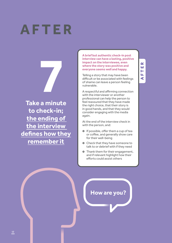## **AFTER**

**Take a minute to check-in; the ending of the interview defines how they remember it**

**A brief but authentic check-in post interview can have a lasting, positive impact on the interviewee, even where the story was positive and everyone seems well and happy.** 

Telling a story that may have been difficult or be associated with feelings of shame can leave a person feeling vulnerable.

**AFTER**

 $\alpha$ ш Н ЦL,  $\blacktriangleleft$ 

A respectful and affirming connection with the interviewer or another professional can help the person to feel reassured that they have made the right choice, that their story is in good hands, and that they would consider engaging with the media again.

At the end of the interview check in with the person, and:

- **o** If possible, offer them a cup of tea or coffee, and generally show care for their well-being
- **o** Check that they have someone to talk to or debrief with if they need
- **o** Thank them for their engagement, and if relevant highlight how their efforts could assist others

**How are you?**

12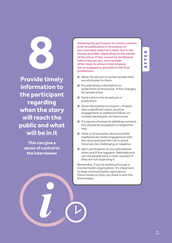**Provide timely information to the participant regarding when the story will reach the public and what will be in it**

> **This can give a sense of control to the interviewee**

**Allowing the participant to review content prior to publication or broadcast of pre-recorded material is ideal, but is not always possible, depending on the nature of the story. If this cannot be facilitated, inform the person, and consider other ways to ensure interviewees are as engaged as possible in the final production:**

- $\bullet$  Allow the person to review quotes that are attributed to them.
- $\bullet$  Provide timely information on publication or broadcast. If this changes, let people know
- **Q** Send a link to the broadcast or publication
- $\bullet$  Send information on impact if there was a significant reach, positive engagement or additional follow-on content developed, let them know
- $\bullet$  If a person chooses to withdraw consent, this should be accepted in a respectful way
- **•** Have a conversation about possible media/social media engagement with the story and how this can in some instances be challenging or negative
- $\bullet$  Alert participants to any rebroadcast when and if this happens. Rebroadcasts can set people back in their recovery if they are not expecting it.

Remember, if you're working through a mental health organisation, it's important to keep communication open about these issues so they can share it with the interviewee.